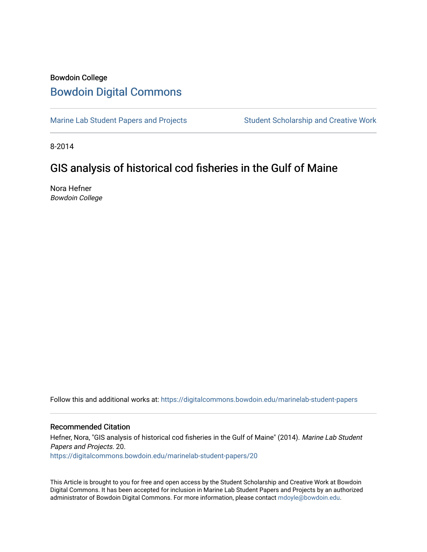## Bowdoin College [Bowdoin Digital Commons](https://digitalcommons.bowdoin.edu/)

[Marine Lab Student Papers and Projects](https://digitalcommons.bowdoin.edu/marinelab-student-papers) Student Scholarship and Creative Work

8-2014

# GIS analysis of historical cod fisheries in the Gulf of Maine

Nora Hefner Bowdoin College

Follow this and additional works at: [https://digitalcommons.bowdoin.edu/marinelab-student-papers](https://digitalcommons.bowdoin.edu/marinelab-student-papers?utm_source=digitalcommons.bowdoin.edu%2Fmarinelab-student-papers%2F20&utm_medium=PDF&utm_campaign=PDFCoverPages) 

#### Recommended Citation

Hefner, Nora, "GIS analysis of historical cod fisheries in the Gulf of Maine" (2014). Marine Lab Student Papers and Projects. 20. [https://digitalcommons.bowdoin.edu/marinelab-student-papers/20](https://digitalcommons.bowdoin.edu/marinelab-student-papers/20?utm_source=digitalcommons.bowdoin.edu%2Fmarinelab-student-papers%2F20&utm_medium=PDF&utm_campaign=PDFCoverPages) 

This Article is brought to you for free and open access by the Student Scholarship and Creative Work at Bowdoin Digital Commons. It has been accepted for inclusion in Marine Lab Student Papers and Projects by an authorized administrator of Bowdoin Digital Commons. For more information, please contact [mdoyle@bowdoin.edu.](mailto:mdoyle@bowdoin.edu)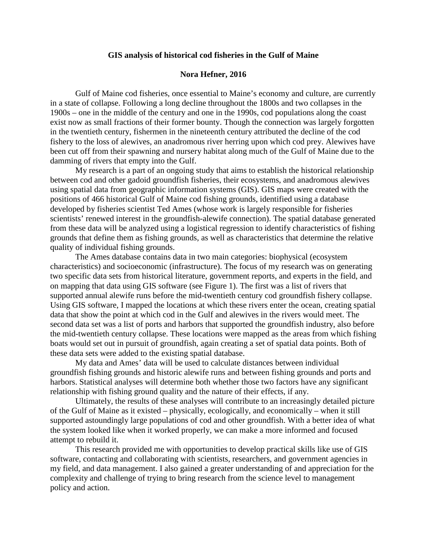#### **GIS analysis of historical cod fisheries in the Gulf of Maine**

#### **Nora Hefner, 2016**

Gulf of Maine cod fisheries, once essential to Maine's economy and culture, are currently in a state of collapse. Following a long decline throughout the 1800s and two collapses in the 1900s – one in the middle of the century and one in the 1990s, cod populations along the coast exist now as small fractions of their former bounty. Though the connection was largely forgotten in the twentieth century, fishermen in the nineteenth century attributed the decline of the cod fishery to the loss of alewives, an anadromous river herring upon which cod prey. Alewives have been cut off from their spawning and nursery habitat along much of the Gulf of Maine due to the damming of rivers that empty into the Gulf.

My research is a part of an ongoing study that aims to establish the historical relationship between cod and other gadoid groundfish fisheries, their ecosystems, and anadromous alewives using spatial data from geographic information systems (GIS). GIS maps were created with the positions of 466 historical Gulf of Maine cod fishing grounds, identified using a database developed by fisheries scientist Ted Ames (whose work is largely responsible for fisheries scientists' renewed interest in the groundfish-alewife connection). The spatial database generated from these data will be analyzed using a logistical regression to identify characteristics of fishing grounds that define them as fishing grounds, as well as characteristics that determine the relative quality of individual fishing grounds.

The Ames database contains data in two main categories: biophysical (ecosystem characteristics) and socioeconomic (infrastructure). The focus of my research was on generating two specific data sets from historical literature, government reports, and experts in the field, and on mapping that data using GIS software (see Figure 1). The first was a list of rivers that supported annual alewife runs before the mid-twentieth century cod groundfish fishery collapse. Using GIS software, I mapped the locations at which these rivers enter the ocean, creating spatial data that show the point at which cod in the Gulf and alewives in the rivers would meet. The second data set was a list of ports and harbors that supported the groundfish industry, also before the mid-twentieth century collapse. These locations were mapped as the areas from which fishing boats would set out in pursuit of groundfish, again creating a set of spatial data points. Both of these data sets were added to the existing spatial database.

My data and Ames' data will be used to calculate distances between individual groundfish fishing grounds and historic alewife runs and between fishing grounds and ports and harbors. Statistical analyses will determine both whether those two factors have any significant relationship with fishing ground quality and the nature of their effects, if any.

Ultimately, the results of these analyses will contribute to an increasingly detailed picture of the Gulf of Maine as it existed – physically, ecologically, and economically – when it still supported astoundingly large populations of cod and other groundfish. With a better idea of what the system looked like when it worked properly, we can make a more informed and focused attempt to rebuild it.

This research provided me with opportunities to develop practical skills like use of GIS software, contacting and collaborating with scientists, researchers, and government agencies in my field, and data management. I also gained a greater understanding of and appreciation for the complexity and challenge of trying to bring research from the science level to management policy and action.